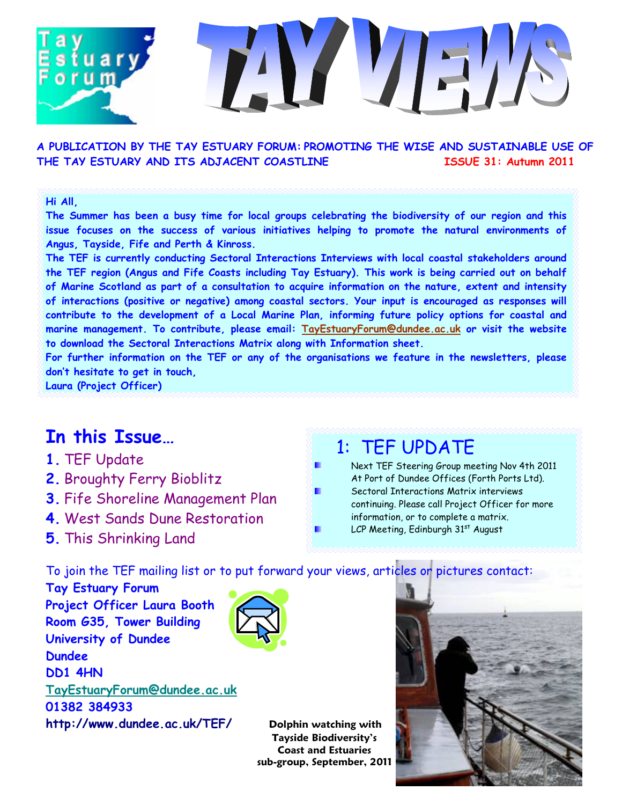### A PUBLICATION BY THE TAY ESTUARY FORUM: PROMOTING THE WISE AND SUSTAINABLE USE OF THE TAY ESTUARY AND ITS ADJACENT COASTLINE ISSUE 31: Autumn 2011

#### Hi All,

The Summer has been a busy time for local groups celebrating the biodiversity of our region and this issue focuses on the success of various initiatives helping to promote the natural environments of Angus, Tayside, Fife and Perth & Kinross.

The TEF is currently conducting Sectoral Interactions Interviews with local coastal stakeholders around the TEF region (Angus and Fife Coasts including Tay Estuary). This work is being carried out on behalf of Marine Scotland as part of a consultation to acquire information on the nature, extent and intensity of interactions (positive or negative) among coastal sectors. Your input is encouraged as responses will contribute to the development of a Local Marine Plan, informing future policy options for coastal and marine management. To contribute, please email: TayEstuaryForum@dundee.ac.uk or visit the website to download the Sectoral Interactions Matrix along with Information sheet.

For further information on the TEF or any of the organisations we feature in the newsletters, please don't hesitate to get in touch,

Laura (Project Officer)

### In this Issue…

- 1. TEF Update
- 2. Broughty Ferry Bioblitz
- 3. Fife Shoreline Management Plan
- 4. West Sands Dune Restoration
- 5. This Shrinking Land

## 1: TEF UPDATE

Next TEF Steering Group meeting Nov 4th 2011 At Port of Dundee Offices (Forth Ports Ltd). Sectoral Interactions Matrix interviews continuing. Please call Project Officer for more information, or to complete a matrix. LCP Meeting, Edinburgh 31st August

To join the TEF mailing list or to put forward your views, articles or pictures contact:

Tay Estuary Forum Project Officer Laura Booth Room G35, Tower Building University of Dundee Dundee DD1 4HN TayEstuaryForum@dundee.ac.uk 01382 384933



http://www.dundee.ac.uk/TEF/ Dolphin watching with Tayside Biodiversity's Coast and Estuaries sub-group, September, 2011

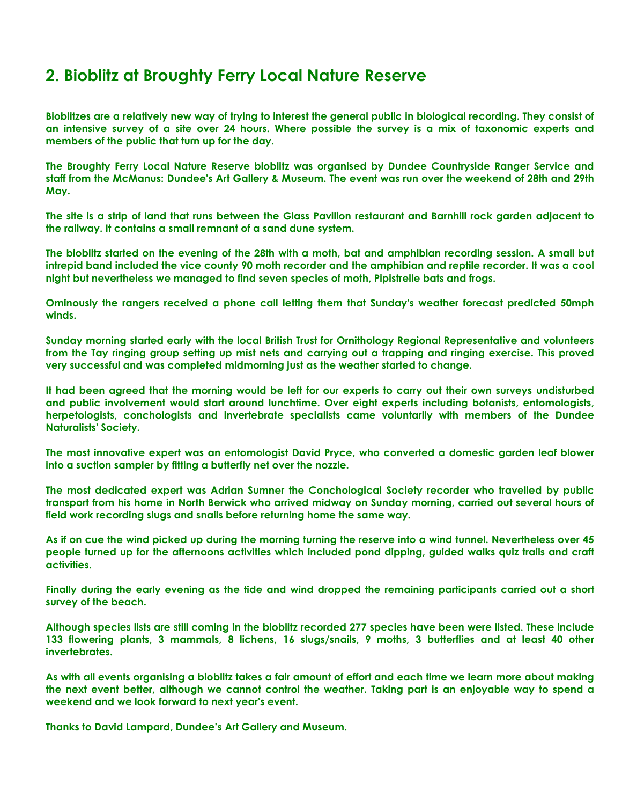### 2. Bioblitz at Broughty Ferry Local Nature Reserve

Bioblitzes are a relatively new way of trying to interest the general public in biological recording. They consist of an intensive survey of a site over 24 hours. Where possible the survey is a mix of taxonomic experts and members of the public that turn up for the day.

The Broughty Ferry Local Nature Reserve bioblitz was organised by Dundee Countryside Ranger Service and staff from the McManus: Dundee's Art Gallery & Museum. The event was run over the weekend of 28th and 29th May.

The site is a strip of land that runs between the Glass Pavilion restaurant and Barnhill rock garden adjacent to the railway. It contains a small remnant of a sand dune system.

The bioblitz started on the evening of the 28th with a moth, bat and amphibian recording session. A small but intrepid band included the vice county 90 moth recorder and the amphibian and reptile recorder. It was a cool night but nevertheless we managed to find seven species of moth, Pipistrelle bats and frogs.

Ominously the rangers received a phone call letting them that Sunday's weather forecast predicted 50mph winds.

Sunday morning started early with the local British Trust for Ornithology Regional Representative and volunteers from the Tay ringing group setting up mist nets and carrying out a trapping and ringing exercise. This proved very successful and was completed midmorning just as the weather started to change.

It had been agreed that the morning would be left for our experts to carry out their own surveys undisturbed and public involvement would start around lunchtime. Over eight experts including botanists, entomologists, herpetologists, conchologists and invertebrate specialists came voluntarily with members of the Dundee Naturalists' Society.

The most innovative expert was an entomologist David Pryce, who converted a domestic garden leaf blower into a suction sampler by fitting a butterfly net over the nozzle.

The most dedicated expert was Adrian Sumner the Conchological Society recorder who travelled by public transport from his home in North Berwick who arrived midway on Sunday morning, carried out several hours of field work recording slugs and snails before returning home the same way.

As if on cue the wind picked up during the morning turning the reserve into a wind tunnel. Nevertheless over 45 people turned up for the afternoons activities which included pond dipping, guided walks quiz trails and craft activities.

Finally during the early evening as the tide and wind dropped the remaining participants carried out a short survey of the beach.

Although species lists are still coming in the bioblitz recorded 277 species have been were listed. These include 133 flowering plants, 3 mammals, 8 lichens, 16 slugs/snails, 9 moths, 3 butterflies and at least 40 other invertebrates.

As with all events organising a bioblitz takes a fair amount of effort and each time we learn more about making the next event better, although we cannot control the weather. Taking part is an enjoyable way to spend a weekend and we look forward to next year's event.

Thanks to David Lampard, Dundee's Art Gallery and Museum.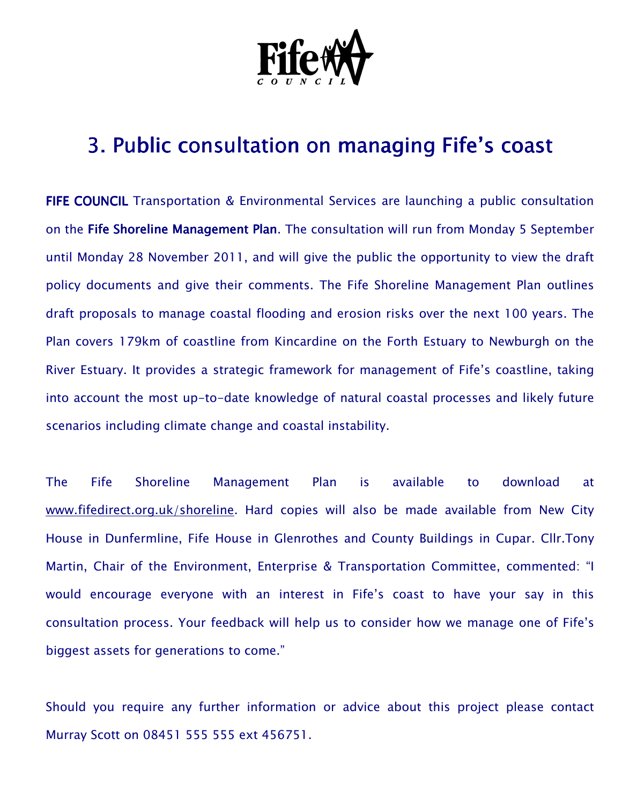

# 3. Public consultation on managing Fife's coast

FIFE COUNCIL Transportation & Environmental Services are launching a public consultation on the Fife Shoreline Management Plan. The consultation will run from Monday 5 September until Monday 28 November 2011, and will give the public the opportunity to view the draft policy documents and give their comments. The Fife Shoreline Management Plan outlines draft proposals to manage coastal flooding and erosion risks over the next 100 years. The Plan covers 179km of coastline from Kincardine on the Forth Estuary to Newburgh on the River Estuary. It provides a strategic framework for management of Fife's coastline, taking into account the most up-to-date knowledge of natural coastal processes and likely future scenarios including climate change and coastal instability.

The Fife Shoreline Management Plan is available to download at www.fifedirect.org.uk/shoreline. Hard copies will also be made available from New City House in Dunfermline, Fife House in Glenrothes and County Buildings in Cupar. Cllr.Tony Martin, Chair of the Environment, Enterprise & Transportation Committee, commented: "I would encourage everyone with an interest in Fife's coast to have your say in this consultation process. Your feedback will help us to consider how we manage one of Fife's biggest assets for generations to come."

Should you require any further information or advice about this project please contact Murray Scott on 08451 555 555 ext 456751.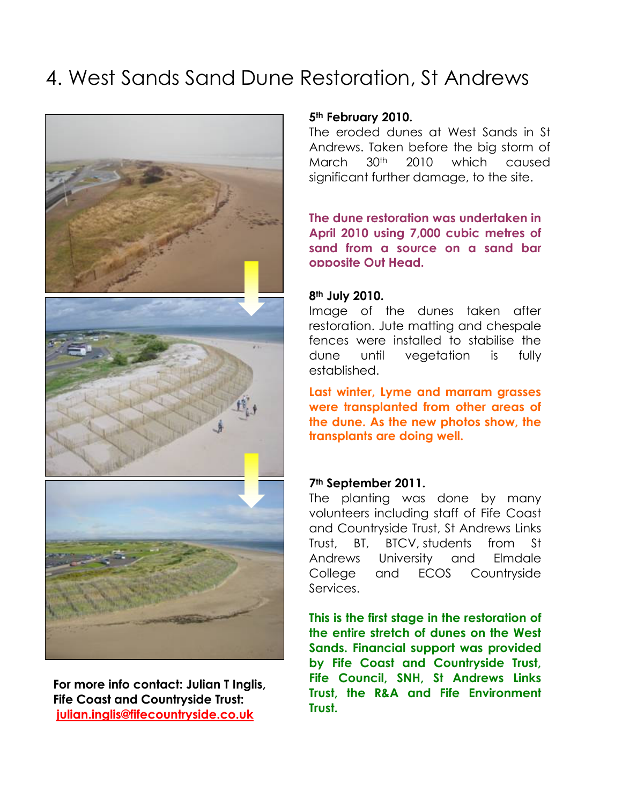# 4. West Sands Sand Dune Restoration, St Andrews



For more info contact: Julian T Inglis, Fife Coast and Countryside Trust: julian.inglis@fifecountryside.co.uk

### 5<sup>th</sup> February 2010.

The eroded dunes at West Sands in St Andrews. Taken before the big storm of March 30th 2010 which caused significant further damage, to the site.

The dune restoration was undertaken in April 2010 using 7,000 cubic metres of sand from a source on a sand bar opposite Out Head.

#### 8th July 2010.

Image of the dunes taken after restoration. Jute matting and chespale fences were installed to stabilise the dune until vegetation is fully established.

Last winter, Lyme and marram grasses were transplanted from other areas of the dune. As the new photos show, the transplants are doing well.

#### 7th September 2011.

The planting was done by many volunteers including staff of Fife Coast and Countryside Trust, St Andrews Links Trust, BT, BTCV, students from St Andrews University and Elmdale College and ECOS Countryside Services.

This is the first stage in the restoration of the entire stretch of dunes on the West Sands. Financial support was provided by Fife Coast and Countryside Trust, Fife Council, SNH, St Andrews Links Trust, the R&A and Fife Environment Trust.